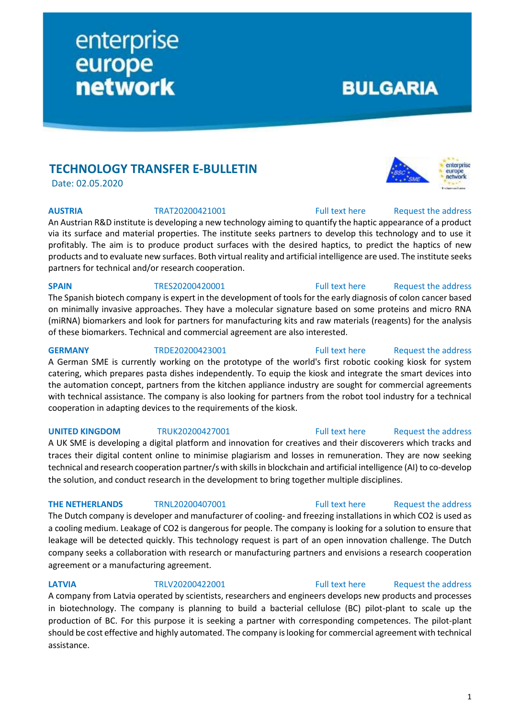# **TECHNOLOGY TRANSFER E-BULLETIN**

enterprise

europe<br>network

Date: 02.05.2020

**AUSTRIA** TRAT20200421001 [Full text here](https://een.ec.europa.eu/tools/services/PRO/Profile/Detail/f8754f7f-a278-403a-b9d5-ae2afb1c8b01) Request the address

An Austrian R&D institute is developing a new technology aiming to quantify the haptic appearance of a product via its surface and material properties. The institute seeks partners to develop this technology and to use it profitably. The aim is to produce product surfaces with the desired haptics, to predict the haptics of new products and to evaluate new surfaces. Both virtual reality and artificial intelligence are used. The institute seeks partners for technical and/or research cooperation.

## **SPAIN** TRES20200420001 [Full text here](https://een.ec.europa.eu/tools/services/PRO/Profile/Detail/f43e5e01-9b8b-4470-94a0-5ab5b7ab0188) Request the address

The Spanish biotech company is expert in the development of tools for the early diagnosis of colon cancer based on minimally invasive approaches. They have a molecular signature based on some proteins and micro RNA (miRNA) biomarkers and look for partners for manufacturing kits and raw materials (reagents) for the analysis of these biomarkers. Technical and commercial agreement are also interested.

## **GERMANY** TRDE20200423001 [Full text here](https://een.ec.europa.eu/tools/services/PRO/Profile/Detail/6c4c5dec-b714-4708-ad91-5e0c1b441576) Request [the address](http://www.een.bg/index.php?option=com_rsform&formId=13)

A German SME is currently working on the prototype of the world's first robotic cooking kiosk for system catering, which prepares pasta dishes independently. To equip the kiosk and integrate the smart devices into the automation concept, partners from the kitchen appliance industry are sought for commercial agreements with technical assistance. The company is also looking for partners from the robot tool industry for a technical cooperation in adapting devices to the requirements of the kiosk.

### **UNITED KINGDOM** TRUK20200427001 [Full text here](https://een.ec.europa.eu/tools/services/PRO/Profile/Detail/380a78ab-23d5-4d4d-8b22-1fdc8d69eb96) Request [the address](http://www.een.bg/index.php?option=com_rsform&formId=13)

A UK SME is developing a digital platform and innovation for creatives and their discoverers which tracks and traces their digital content online to minimise plagiarism and losses in remuneration. They are now seeking technical and research cooperation partner/s with skills in blockchain and artificial intelligence (AI) to co-develop the solution, and conduct research in the development to bring together multiple disciplines.

The Dutch company is developer and manufacturer of cooling- and freezing installations in which CO2 is used as a cooling medium. Leakage of CO2 is dangerous for people. The company is looking for a solution to ensure that leakage will be detected quickly. This technology request is part of an open innovation challenge. The Dutch company seeks a collaboration with research or manufacturing partners and envisions a research cooperation agreement or a manufacturing agreement.

### **LATVIA** TRLV20200422001 [Full text here](https://een.ec.europa.eu/tools/services/PRO/Profile/Detail/9d570526-324f-4571-be8f-418ba464ef87) Request the address

A company from Latvia operated by scientists, researchers and engineers develops new products and processes in biotechnology. The company is planning to build a bacterial cellulose (BC) pilot-plant to scale up the production of BC. For this purpose it is seeking a partner with corresponding competences. The pilot-plant should be cost effective and highly automated. The company is looking for commercial agreement with technical assistance.

**BULGARIA** 



## **THE NETHERLANDS** TRNL20200407001 [Full text here](https://een.ec.europa.eu/tools/services/PRO/Profile/Detail/05f9973e-55ff-49a8-992a-e75e37fb0a95) Request the address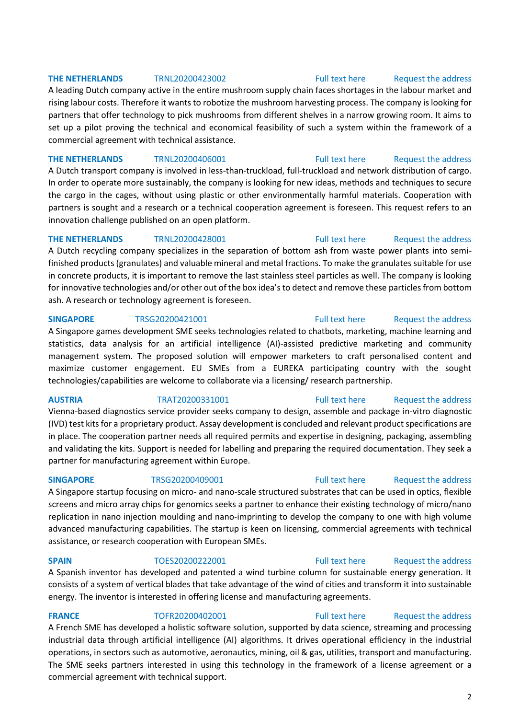## **THE NETHERLANDS** TRNL20200423002 [Full text here](https://een.ec.europa.eu/tools/services/PRO/Profile/Detail/3706d3bd-a78e-4a41-a8ed-a175b9a5314d) Request [the address](http://www.een.bg/index.php?option=com_rsform&formId=13)

A leading Dutch company active in the entire mushroom supply chain faces shortages in the labour market and rising labour costs. Therefore it wants to robotize the mushroom harvesting process. The company is looking for partners that offer technology to pick mushrooms from different shelves in a narrow growing room. It aims to set up a pilot proving the technical and economical feasibility of such a system within the framework of a commercial agreement with technical assistance.

**THE NETHERLANDS** TRNL20200406001 [Full text here](https://een.ec.europa.eu/tools/services/PRO/Profile/Detail/c7a804d0-8bb8-4c17-b070-11b7dad75e9c) Request [the address](http://www.een.bg/index.php?option=com_rsform&formId=13) A Dutch transport company is involved in less-than-truckload, full-truckload and network distribution of cargo. In order to operate more sustainably, the company is looking for new ideas, methods and techniques to secure the cargo in the cages, without using plastic or other environmentally harmful materials. Cooperation with partners is sought and a research or a technical cooperation agreement is foreseen. This request refers to an innovation challenge published on an open platform.

## **THE NETHERLANDS** TRNL20200428001 [Full text here](https://een.ec.europa.eu/tools/services/PRO/Profile/Detail/ed93f937-87e7-4801-af86-c89a583f1d03) Request the address

A Dutch recycling company specializes in the separation of bottom ash from waste power plants into semifinished products (granulates) and valuable mineral and metal fractions. To make the granulates suitable for use in concrete products, it is important to remove the last stainless steel particles as well. The company is looking for innovative technologies and/or other out of the box idea's to detect and remove these particles from bottom ash. A research or technology agreement is foreseen.

## **SINGAPORE** TRSG20200421001 [Full text here](https://een.ec.europa.eu/tools/services/PRO/Profile/Detail/8cdace0e-bf93-476d-ac95-64c26181a5bc) Request the address

A Singapore games development SME seeks technologies related to chatbots, marketing, machine learning and statistics, data analysis for an artificial intelligence (AI)-assisted predictive marketing and community management system. The proposed solution will empower marketers to craft personalised content and maximize customer engagement. EU SMEs from a EUREKA participating country with the sought technologies/capabilities are welcome to collaborate via a licensing/ research partnership.

Vienna-based diagnostics service provider seeks company to design, assemble and package in-vitro diagnostic (IVD) test kits for a proprietary product. Assay development is concluded and relevant product specifications are in place. The cooperation partner needs all required permits and expertise in designing, packaging, assembling and validating the kits. Support is needed for labelling and preparing the required documentation. They seek a partner for manufacturing agreement within Europe.

A Singapore startup focusing on micro- and nano-scale structured substrates that can be used in optics, flexible screens and micro array chips for genomics seeks a partner to enhance their existing technology of micro/nano replication in nano injection moulding and nano-imprinting to develop the company to one with high volume advanced manufacturing capabilities. The startup is keen on licensing, commercial agreements with technical assistance, or research cooperation with European SMEs.

A Spanish inventor has developed and patented a wind turbine column for sustainable energy generation. It consists of a system of vertical blades that take advantage of the wind of cities and transform it into sustainable energy. The inventor is interested in offering license and manufacturing agreements.

## **FRANCE** TOFR20200402001 [Full text here](https://een.ec.europa.eu/tools/services/PRO/Profile/Detail/79e8b799-8f94-4b5e-a2c5-3c786304bc0e) Request the address

A French SME has developed a holistic software solution, supported by data science, streaming and processing industrial data through artificial intelligence (AI) algorithms. It drives operational efficiency in the industrial operations, in sectors such as automotive, aeronautics, mining, oil & gas, utilities, transport and manufacturing. The SME seeks partners interested in using this technology in the framework of a license agreement or a commercial agreement with technical support.

## **AUSTRIA** TRAT20200331001 [Full text here](https://een.ec.europa.eu/tools/services/PRO/Profile/Detail/601943f0-dc63-4e54-8cec-f486e2801bf6) Request [the address](http://www.een.bg/index.php?option=com_rsform&formId=13)

# **SINGAPORE** TRSG20200409001 [Full text here](https://een.ec.europa.eu/tools/services/PRO/Profile/Detail/66e22810-55ca-4371-88a4-050092261205) Request the address

# **SPAIN** TOES20200222001 [Full text here](https://een.ec.europa.eu/tools/services/PRO/Profile/Detail/4d10428e-9bb7-4923-b7d4-3039b3a87b11) Request the address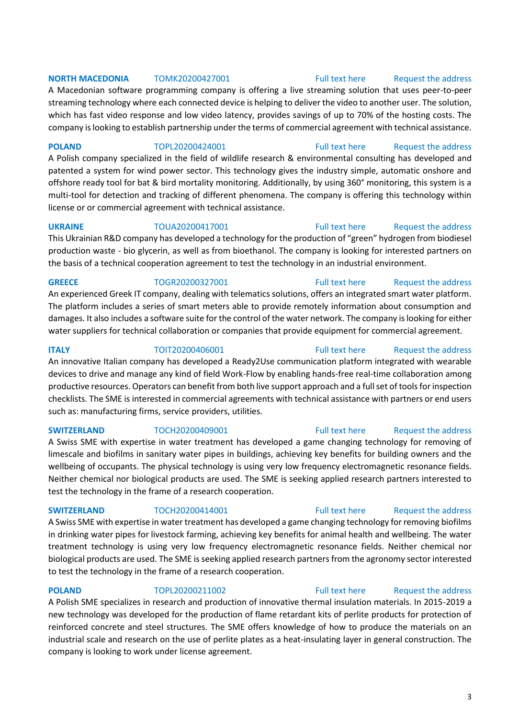## **NORTH MACEDONIA** TOMK20200427001 [Full text here](https://een.ec.europa.eu/tools/services/PRO/Profile/Detail/e3e0637a-0563-468d-809b-c2dd91688a49) Request the address

A Macedonian software programming company is offering a live streaming solution that uses peer-to-peer streaming technology where each connected device is helping to deliver the video to another user. The solution, which has fast video response and low video latency, provides savings of up to 70% of the hosting costs. The company is looking to establish partnership under the terms of commercial agreement with technical assistance.

**POLAND** TOPL20200424001 [Full text here](https://een.ec.europa.eu/tools/services/PRO/Profile/Detail/56cb6830-807b-4f1b-aef2-251716b3f424) Request the address

A Polish company specialized in the field of wildlife research & environmental consulting has developed and patented a system for wind power sector. This technology gives the industry simple, automatic onshore and offshore ready tool for bat & bird mortality monitoring. Additionally, by using 360° monitoring, this system is a multi-tool for detection and tracking of different phenomena. The company is offering this technology within license or or commercial agreement with technical assistance.

**UKRAINE** TOUA20200417001 [Full text here](https://een.ec.europa.eu/tools/services/PRO/Profile/Detail/7430a6e8-1312-49bd-bb48-70002f7ad3e4) Request the address

This Ukrainian R&D company has developed a technology for the production of "green" hydrogen from biodiesel production waste - bio glycerin, as well as from bioethanol. The company is looking for interested partners on the basis of a technical cooperation agreement to test the technology in an industrial environment.

**GREECE** TOGR20200327001 [Full text here](https://een.ec.europa.eu/tools/services/PRO/Profile/Detail/103878e3-402a-4c92-8ce7-66e8c77abc19) Request the address

An experienced Greek IT company, dealing with telematics solutions, offers an integrated smart water platform. The platform includes a series of smart meters able to provide remotely information about consumption and damages. It also includes a software suite for the control of the water network. The company is looking for either water suppliers for technical collaboration or companies that provide equipment for commercial agreement.

**ITALY** TOIT20200406001 [Full text here](https://een.ec.europa.eu/tools/services/PRO/Profile/Detail/d2846ba3-092b-46f4-9ee3-17fc95f6e435) Request the address An innovative Italian company has developed a Ready2Use communication platform integrated with wearable devices to drive and manage any kind of field Work-Flow by enabling hands-free real-time collaboration among productive resources. Operators can benefit from both live support approach and a full set of tools for inspection checklists. The SME is interested in commercial agreements with technical assistance with partners or end users such as: manufacturing firms, service providers, utilities.

## **SWITZERLAND** TOCH20200409001 [Full text here](https://een.ec.europa.eu/tools/services/PRO/Profile/Detail/1a42eccf-2d5d-45de-a486-823f873bc4f5) Request the address

A Swiss SME with expertise in water treatment has developed a game changing technology for removing of limescale and biofilms in sanitary water pipes in buildings, achieving key benefits for building owners and the wellbeing of occupants. The physical technology is using very low frequency electromagnetic resonance fields. Neither chemical nor biological products are used. The SME is seeking applied research partners interested to test the technology in the frame of a research cooperation.

A Swiss SME with expertise in water treatment has developed a game changing technology for removing biofilms in drinking water pipes for livestock farming, achieving key benefits for animal health and wellbeing. The water treatment technology is using very low frequency electromagnetic resonance fields. Neither chemical nor biological products are used. The SME is seeking applied research partners from the agronomy sector interested to test the technology in the frame of a research cooperation.

**POLAND** TOPL20200211002 [Full text here](https://een.ec.europa.eu/tools/services/PRO/Profile/Detail/eb85b6a6-6cf6-4a6d-8c16-bedf7df9efb5) Request the address A Polish SME specializes in research and production of innovative thermal insulation materials. In 2015-2019 a new technology was developed for the production of flame retardant kits of perlite products for protection of reinforced concrete and steel structures. The SME offers knowledge of how to produce the materials on an industrial scale and research on the use of perlite plates as a heat-insulating layer in general construction. The company is looking to work under license agreement.

### 3

# **SWITZERLAND** TOCH20200414001 [Full text here](https://een.ec.europa.eu/tools/services/PRO/Profile/Detail/97e86d32-5506-480b-ad0a-dffdd6955e32) Request the address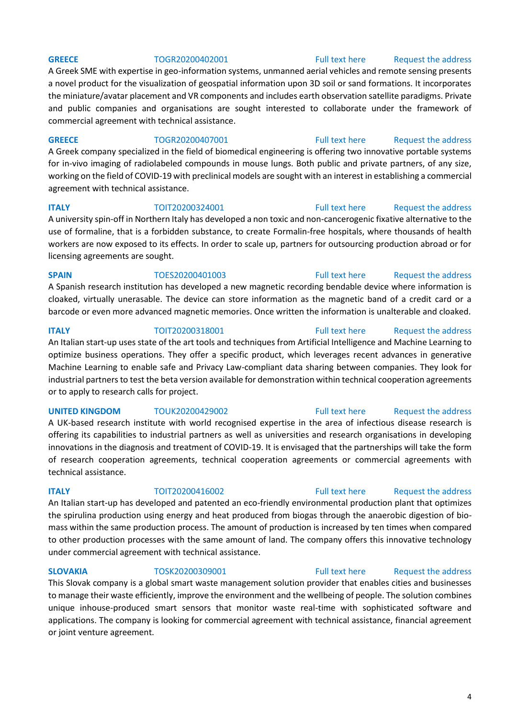A Greek SME with expertise in geo-information systems, unmanned aerial vehicles and remote sensing presents a novel product for the visualization of geospatial information upon 3D soil or sand formations. It incorporates the miniature/avatar placement and VR components and includes earth observation satellite paradigms. Private and public companies and organisations are sought interested to collaborate under the framework of commercial agreement with technical assistance.

## **GREECE** TOGR20200407001 [Full text here](https://een.ec.europa.eu/tools/services/PRO/Profile/Detail/980985cf-da79-4cea-a278-2d2b35321f93) Request the address

A Greek company specialized in the field of biomedical engineering is offering two innovative portable systems for in-vivo imaging of radiolabeled compounds in mouse lungs. Both public and private partners, of any size, working on the field of COVID-19 with preclinical models are sought with an interest in establishing a commercial agreement with technical assistance.

## **ITALY TOIT20200324001** [Full text here](https://een.ec.europa.eu/tools/services/PRO/Profile/Detail/d82bd748-0000-4a49-8ebc-9f189f3878f2) Request the address

A university spin-off in Northern Italy has developed a non toxic and non-cancerogenic fixative alternative to the use of formaline, that is a forbidden substance, to create Formalin-free hospitals, where thousands of health workers are now exposed to its effects. In order to scale up, partners for outsourcing production abroad or for licensing agreements are sought.

### **SPAIN** TOES20200401003 [Full text here](https://een.ec.europa.eu/tools/services/PRO/Profile/Detail/c2df2d08-12d2-42f8-9935-6cac62c15af7) Request the address

A Spanish research institution has developed a new magnetic recording bendable device where information is cloaked, virtually unerasable. The device can store information as the magnetic band of a credit card or a barcode or even more advanced magnetic memories. Once written the information is unalterable and cloaked.

## **ITALY TOIT20200318001** [Full text here](https://een.ec.europa.eu/tools/services/PRO/Profile/Detail/f63d519b-5e26-4666-98c5-654a739f7115) Request the address An Italian start-up uses state of the art tools and techniques from Artificial Intelligence and Machine Learning to optimize business operations. They offer a specific product, which leverages recent advances in generative Machine Learning to enable safe and Privacy Law-compliant data sharing between companies. They look for industrial partners to test the beta version available for demonstration within technical cooperation agreements or to apply to research calls for project.

A UK-based research institute with world recognised expertise in the area of infectious disease research is offering its capabilities to industrial partners as well as universities and research organisations in developing innovations in the diagnosis and treatment of COVID-19. It is envisaged that the partnerships will take the form of research cooperation agreements, technical cooperation agreements or commercial agreements with technical assistance.

## **ITALY TOIT20200416002** [Full text here](https://een.ec.europa.eu/tools/services/PRO/Profile/Detail/10f6396d-42b0-4990-b790-56fbd60e3360) Request the address

An Italian start-up has developed and patented an eco-friendly environmental production plant that optimizes the spirulina production using energy and heat produced from biogas through the anaerobic digestion of biomass within the same production process. The amount of production is increased by ten times when compared to other production processes with the same amount of land. The company offers this innovative technology under commercial agreement with technical assistance.

This Slovak company is a global smart waste management solution provider that enables cities and businesses to manage their waste efficiently, improve the environment and the wellbeing of people. The solution combines unique inhouse-produced smart sensors that monitor waste real-time with sophisticated software and applications. The company is looking for commercial agreement with technical assistance, financial agreement or joint venture agreement.

# **UNITED KINGDOM** TOUK20200429002 **Full text here** Request the address

## **SLOVAKIA** TOSK20200309001 [Full text here](https://een.ec.europa.eu/tools/services/PRO/Profile/Detail/55a80fd9-a6ce-431b-89ef-45dbc3db3f9b) Request the address

### 4

## **GREECE** TOGR20200402001 [Full text here](https://een.ec.europa.eu/tools/services/PRO/Profile/Detail/abe2a307-d51d-427c-b3f6-af9db7255e53) Request the address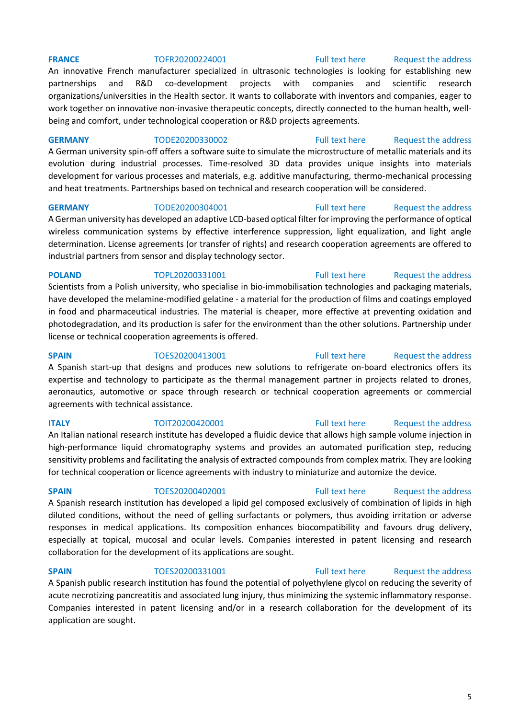### **FRANCE** TOFR20200224001 [Full text here](https://een.ec.europa.eu/tools/services/PRO/Profile/Detail/9ae65ecf-17d6-409f-97c7-c9e926a67644) Request the address

An innovative French manufacturer specialized in ultrasonic technologies is looking for establishing new partnerships and R&D co-development projects with companies and scientific research organizations/universities in the Health sector. It wants to collaborate with inventors and companies, eager to work together on innovative non-invasive therapeutic concepts, directly connected to the human health, wellbeing and comfort, under technological cooperation or R&D projects agreements.

**GERMANY** TODE20200330002 [Full text here](https://een.ec.europa.eu/tools/services/PRO/Profile/Detail/37683a70-6d40-48ba-bc99-58a7ab0fa6f9) Request the address

A German university spin-off offers a software suite to simulate the microstructure of metallic materials and its evolution during industrial processes. Time-resolved 3D data provides unique insights into materials development for various processes and materials, e.g. additive manufacturing, thermo-mechanical processing and heat treatments. Partnerships based on technical and research cooperation will be considered.

### **GERMANY** TODE20200304001 [Full text here](https://een.ec.europa.eu/tools/services/PRO/Profile/Detail/f19e05bf-2c1c-449c-a705-cf60efbf075c) Request the address

A German university has developed an adaptive LCD-based optical filter for improving the performance of optical wireless communication systems by effective interference suppression, light equalization, and light angle determination. License agreements (or transfer of rights) and research cooperation agreements are offered to industrial partners from sensor and display technology sector.

**POLAND** TOPL20200331001 [Full text here](https://een.ec.europa.eu/tools/services/PRO/Profile/Detail/82dc4845-202c-4cae-bfb7-dd3b4c22b06c) Request the address Scientists from a Polish university, who specialise in bio-immobilisation technologies and packaging materials, have developed the melamine-modified gelatine - a material for the production of films and coatings employed in food and pharmaceutical industries. The material is cheaper, more effective at preventing oxidation and photodegradation, and its production is safer for the environment than the other solutions. Partnership under license or technical cooperation agreements is offered.

**SPAIN** TOES20200413001 [Full text here](https://een.ec.europa.eu/tools/services/PRO/Profile/Detail/a7a08635-aa50-48ae-8b5b-eee24656d6ed) Request the address A Spanish start-up that designs and produces new solutions to refrigerate on-board electronics offers its expertise and technology to participate as the thermal management partner in projects related to drones, aeronautics, automotive or space through research or technical cooperation agreements or commercial agreements with technical assistance.

**ITALY TOIT20200420001** [Full text here](https://een.ec.europa.eu/tools/services/PRO/Profile/Detail/9cf48662-32aa-4564-9f8b-91da03a739e6) Request the address An Italian national research institute has developed a fluidic device that allows high sample volume injection in high-performance liquid chromatography systems and provides an automated purification step, reducing sensitivity problems and facilitating the analysis of extracted compounds from complex matrix. They are looking for technical cooperation or licence agreements with industry to miniaturize and automize the device.

### **SPAIN** TOES20200402001 [Full text here](https://een.ec.europa.eu/tools/services/PRO/Profile/Detail/7c810da3-ae95-4f60-883e-9e7d5eb84a2c) Request the address

A Spanish research institution has developed a lipid gel composed exclusively of combination of lipids in high diluted conditions, without the need of gelling surfactants or polymers, thus avoiding irritation or adverse responses in medical applications. Its composition enhances biocompatibility and favours drug delivery, especially at topical, mucosal and ocular levels. Companies interested in patent licensing and research collaboration for the development of its applications are sought.

## **SPAIN** TOES20200331001 [Full text here](https://een.ec.europa.eu/tools/services/PRO/Profile/Detail/42002954-f1ed-4ba3-a87e-52fb943ae069) Request the address

A Spanish public research institution has found the potential of polyethylene glycol on reducing the severity of acute necrotizing pancreatitis and associated lung injury, thus minimizing the systemic inflammatory response. Companies interested in patent licensing and/or in a research collaboration for the development of its application are sought.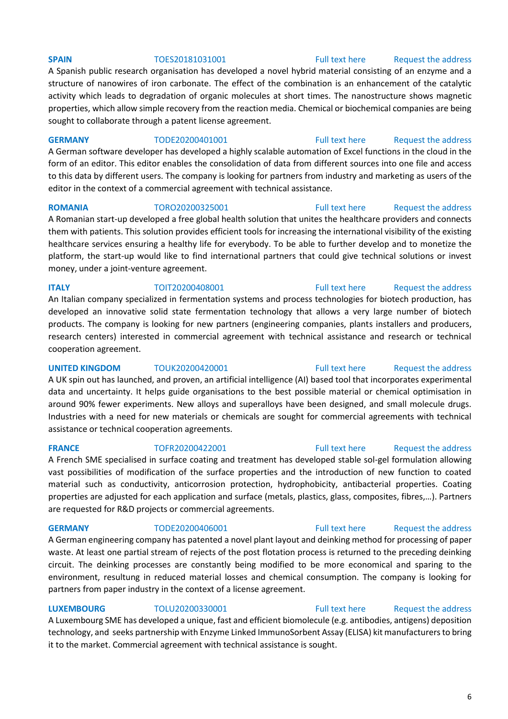## **SPAIN** TOES20181031001 [Full text here](https://een.ec.europa.eu/tools/services/PRO/Profile/Detail/a29cfba5-4135-4344-808e-b188494e1902) Request the address

A Spanish public research organisation has developed a novel hybrid material consisting of an enzyme and a structure of nanowires of iron carbonate. The effect of the combination is an enhancement of the catalytic activity which leads to degradation of organic molecules at short times. The nanostructure shows magnetic properties, which allow simple recovery from the reaction media. Chemical or biochemical companies are being sought to collaborate through a patent license agreement.

### **GERMANY** TODE20200401001 [Full text here](https://een.ec.europa.eu/tools/services/PRO/Profile/Detail/2a64f755-e2e7-44a5-9dc3-0d511d2bf284) Request the address

A German software developer has developed a highly scalable automation of Excel functions in the cloud in the form of an editor. This editor enables the consolidation of data from different sources into one file and access to this data by different users. The company is looking for partners from industry and marketing as users of the editor in the context of a commercial agreement with technical assistance.

A Romanian start-up developed a free global health solution that unites the healthcare providers and connects them with patients. This solution provides efficient tools for increasing the international visibility of the existing healthcare services ensuring a healthy life for everybody. To be able to further develop and to monetize the platform, the start-up would like to find international partners that could give technical solutions or invest money, under a joint-venture agreement.

**ITALY TOIT20200408001** [Full text here](https://een.ec.europa.eu/tools/services/PRO/Profile/Detail/f67c4af7-e598-49c2-8bf9-7d91de4670fb) Request the address An Italian company specialized in fermentation systems and process technologies for biotech production, has developed an innovative solid state fermentation technology that allows a very large number of biotech products. The company is looking for new partners (engineering companies, plants installers and producers, research centers) interested in commercial agreement with technical assistance and research or technical cooperation agreement.

## **UNITED KINGDOM** TOUK20200420001 [Full text here](https://een.ec.europa.eu/tools/services/PRO/Profile/Detail/d13481a4-9640-4bb7-8ac9-7cc8e0720de0) Request the address A UK spin out has launched, and proven, an artificial intelligence (AI) based tool that incorporates experimental data and uncertainty. It helps guide organisations to the best possible material or chemical optimisation in around 90% fewer experiments. New alloys and superalloys have been designed, and small molecule drugs. Industries with a need for new materials or chemicals are sought for commercial agreements with technical assistance or technical cooperation agreements.

A French SME specialised in surface coating and treatment has developed stable sol-gel formulation allowing vast possibilities of modification of the surface properties and the introduction of new function to coated material such as conductivity, anticorrosion protection, hydrophobicity, antibacterial properties. Coating properties are adjusted for each application and surface (metals, plastics, glass, composites, fibres,…). Partners are requested for R&D projects or commercial agreements.

A German engineering company has patented a novel plant layout and deinking method for processing of paper waste. At least one partial stream of rejects of the post flotation process is returned to the preceding deinking circuit. The deinking processes are constantly being modified to be more economical and sparing to the environment, resultung in reduced material losses and chemical consumption. The company is looking for partners from paper industry in the context of a license agreement.

**LUXEMBOURG** TOLU20200330001 [Full text here](https://een.ec.europa.eu/tools/services/PRO/Profile/Detail/ef6ea1c1-4719-452f-8a13-5c8cb26ab55f) [Request the address](http://www.een.bg/index.php?option=com_rsform&formId=13)  A Luxembourg SME has developed a unique, fast and efficient biomolecule (e.g. antibodies, antigens) deposition technology, and seeks partnership with Enzyme Linked ImmunoSorbent Assay (ELISA) kit manufacturers to bring it to the market. Commercial agreement with technical assistance is sought.

### 6

## **ROMANIA** TORO20200325001 [Full text here](https://een.ec.europa.eu/tools/services/PRO/Profile/Detail/85779f1a-d74e-4fc1-9d06-45c0506e119b) Request the address

## **FRANCE** TOFR20200422001 [Full text here](https://een.ec.europa.eu/tools/services/PRO/Profile/Detail/492e3435-64a0-411c-884a-ede67088e262) Request the address

# **GERMANY** TODE20200406001 [Full text here](https://een.ec.europa.eu/tools/services/PRO/Profile/Detail/8bb93069-95e6-4ff4-aaff-d62b76891170) Request the address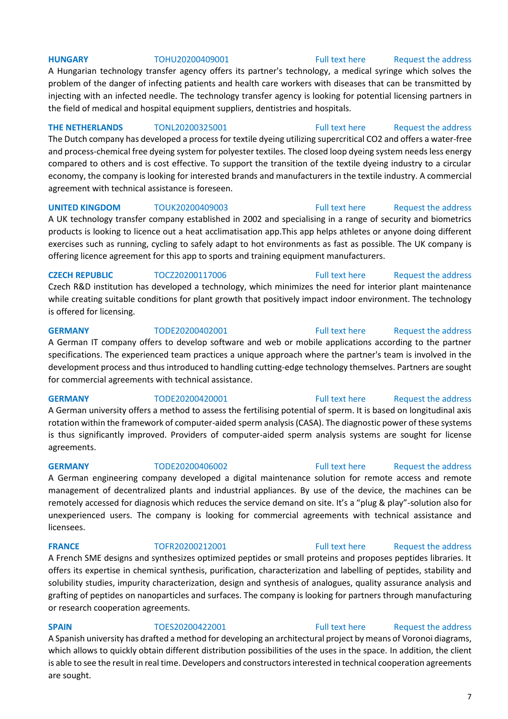## **HUNGARY** TOHU20200409001 [Full text here](https://een.ec.europa.eu/tools/services/PRO/Profile/Detail/1c05be1b-7ca1-4674-ba35-289bce74c55e) [Request the address](http://www.een.bg/index.php?option=com_rsform&formId=13)

A Hungarian technology transfer agency offers its partner's technology, a medical syringe which solves the problem of the danger of infecting patients and health care workers with diseases that can be transmitted by injecting with an infected needle. The technology transfer agency is looking for potential licensing partners in the field of medical and hospital equipment suppliers, dentistries and hospitals.

**THE NETHERLANDS** TONL20200325001 [Full text here](https://een.ec.europa.eu/tools/services/PRO/Profile/Detail/7acca2d4-65af-4eea-91a0-5e9b1e644844) Request the address The Dutch company has developed a process for textile dyeing utilizing supercritical CO2 and offers a water-free and process-chemical free dyeing system for polyester textiles. The closed loop dyeing system needs less energy compared to others and is cost effective. To support the transition of the textile dyeing industry to a circular economy, the company is looking for interested brands and manufacturers in the textile industry. A commercial agreement with technical assistance is foreseen.

### **UNITED KINGDOM** TOUK20200409003 [Full text here](https://een.ec.europa.eu/tools/services/PRO/Profile/Detail/2cfae437-5a22-4ba4-80fe-6c26e0716c9c) Request the address

A UK technology transfer company established in 2002 and specialising in a range of security and biometrics products is looking to licence out a heat acclimatisation app.This app helps athletes or anyone doing different exercises such as running, cycling to safely adapt to hot environments as fast as possible. The UK company is offering licence agreement for this app to sports and training equipment manufacturers.

### **CZECH REPUBLIC** TOCZ20200117006 [Full text here](https://een.ec.europa.eu/tools/services/PRO/Profile/Detail/3a285d56-a620-4428-ba57-ecb14def7d80) Request the address

Czech R&D institution has developed a technology, which minimizes the need for interior plant maintenance while creating suitable conditions for plant growth that positively impact indoor environment. The technology is offered for licensing.

## **GERMANY** TODE20200402001 [Full text here](https://een.ec.europa.eu/tools/services/PRO/Profile/Detail/101eb144-513d-4642-8585-b01473becb30) Request the address

A German IT company offers to develop software and web or mobile applications according to the partner specifications. The experienced team practices a unique approach where the partner's team is involved in the development process and thus introduced to handling cutting-edge technology themselves. Partners are sought for commercial agreements with technical assistance.

A German university offers a method to assess the fertilising potential of sperm. It is based on longitudinal axis rotation within the framework of computer-aided sperm analysis (CASA). The diagnostic power of these systems is thus significantly improved. Providers of computer-aided sperm analysis systems are sought for license agreements.

A German engineering company developed a digital maintenance solution for remote access and remote management of decentralized plants and industrial appliances. By use of the device, the machines can be remotely accessed for diagnosis which reduces the service demand on site. It's a "plug & play"-solution also for unexperienced users. The company is looking for commercial agreements with technical assistance and licensees.

A French SME designs and synthesizes optimized peptides or small proteins and proposes peptides libraries. It offers its expertise in chemical synthesis, purification, characterization and labelling of peptides, stability and solubility studies, impurity characterization, design and synthesis of analogues, quality assurance analysis and grafting of peptides on nanoparticles and surfaces. The company is looking for partners through manufacturing or research cooperation agreements.

**SPAIN** TOES20200422001 [Full text here](https://een.ec.europa.eu/tools/services/PRO/Profile/Detail/ae0222ff-5e70-48e0-ac83-dc3670be735e) Request the address A Spanish university has drafted a method for developing an architectural project by means of Voronoi diagrams, which allows to quickly obtain different distribution possibilities of the uses in the space. In addition, the client is able to see the result in real time. Developers and constructors interested in technical cooperation agreements are sought.

## **GERMANY** TODE20200420001 [Full text here](https://een.ec.europa.eu/tools/services/PRO/Profile/Detail/a662e545-3f30-4c4f-a3e4-0ba8c9492bd7) Request the address

## **GERMANY** TODE20200406002 [Full text here](https://een.ec.europa.eu/tools/services/PRO/Profile/Detail/6edc4e4d-d0f3-469a-8f31-b5814c9c0e15) Request the address

# **FRANCE** TOFR20200212001 [Full text here](https://een.ec.europa.eu/tools/services/PRO/Profile/Detail/e6a6d892-c6a6-4a2f-aabc-8483bf4abd72) Request the address

### 7